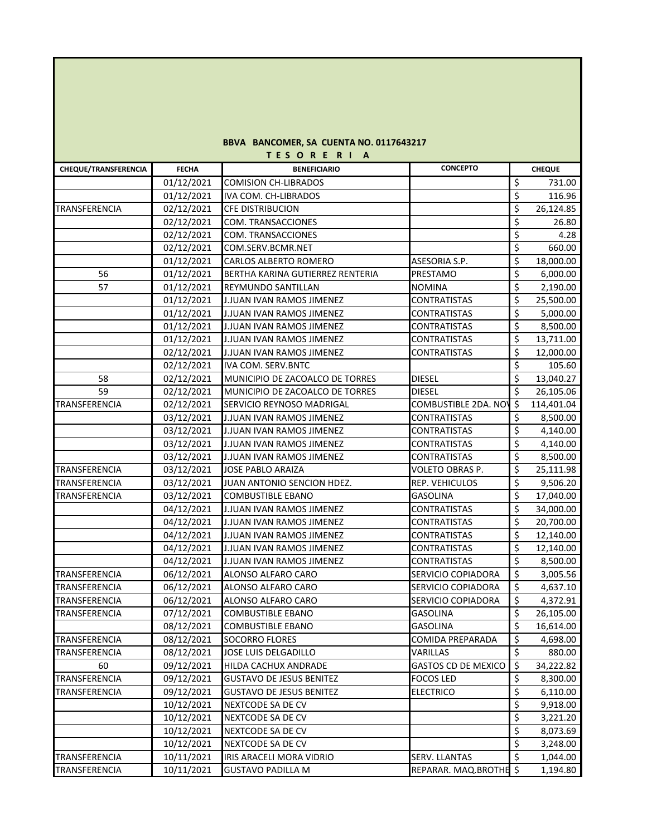## **BBVA BANCOMER, SA CUENTA NO. 0117643217 T E S O R E R I A**

| <b>CHEQUE/TRANSFERENCIA</b> | <b>FECHA</b> | <b>BENEFICIARIO</b>              | <b>CONCEPTO</b>        |                          | <b>CHEQUE</b> |
|-----------------------------|--------------|----------------------------------|------------------------|--------------------------|---------------|
|                             | 01/12/2021   | <b>COMISION CH-LIBRADOS</b>      |                        | \$                       | 731.00        |
|                             | 01/12/2021   | IVA COM. CH-LIBRADOS             |                        | \$                       | 116.96        |
| TRANSFERENCIA               | 02/12/2021   | CFE DISTRIBUCION                 |                        | \$                       | 26,124.85     |
|                             | 02/12/2021   | COM. TRANSACCIONES               |                        | \$                       | 26.80         |
|                             | 02/12/2021   | COM. TRANSACCIONES               |                        | \$                       | 4.28          |
|                             | 02/12/2021   | COM.SERV.BCMR.NET                |                        | \$                       | 660.00        |
|                             | 01/12/2021   | CARLOS ALBERTO ROMERO            | ASESORIA S.P.          | \$                       | 18,000.00     |
| 56                          | 01/12/2021   | BERTHA KARINA GUTIERREZ RENTERIA | PRESTAMO               | \$                       | 6,000.00      |
| 57                          | 01/12/2021   | REYMUNDO SANTILLAN               | NOMINA                 | \$                       | 2,190.00      |
|                             | 01/12/2021   | J.JUAN IVAN RAMOS JIMENEZ        | <b>CONTRATISTAS</b>    | \$                       | 25,500.00     |
|                             | 01/12/2021   | J.JUAN IVAN RAMOS JIMENEZ        | <b>CONTRATISTAS</b>    | \$                       | 5,000.00      |
|                             | 01/12/2021   | J.JUAN IVAN RAMOS JIMENEZ        | <b>CONTRATISTAS</b>    | \$                       | 8,500.00      |
|                             | 01/12/2021   | J.JUAN IVAN RAMOS JIMENEZ        | <b>CONTRATISTAS</b>    | \$                       | 13,711.00     |
|                             | 02/12/2021   | J.JUAN IVAN RAMOS JIMENEZ        | <b>CONTRATISTAS</b>    | \$                       | 12,000.00     |
|                             | 02/12/2021   | IVA COM. SERV.BNTC               |                        | \$                       | 105.60        |
| 58                          | 02/12/2021   | MUNICIPIO DE ZACOALCO DE TORRES  | <b>DIESEL</b>          | \$                       | 13,040.27     |
| 59                          | 02/12/2021   | MUNICIPIO DE ZACOALCO DE TORRES  | DIESEL                 | \$                       | 26,105.06     |
| TRANSFERENCIA               | 02/12/2021   | SERVICIO REYNOSO MADRIGAL        | COMBUSTIBLE 2DA. NO'   | \$                       | 114,401.04    |
|                             | 03/12/2021   | <b>J.JUAN IVAN RAMOS JIMENEZ</b> | <b>CONTRATISTAS</b>    | \$                       | 8,500.00      |
|                             | 03/12/2021   | J.JUAN IVAN RAMOS JIMENEZ        | CONTRATISTAS           | \$                       | 4,140.00      |
|                             | 03/12/2021   | <b>J.JUAN IVAN RAMOS JIMENEZ</b> | <b>CONTRATISTAS</b>    | \$                       | 4,140.00      |
|                             | 03/12/2021   | J.JUAN IVAN RAMOS JIMENEZ        | CONTRATISTAS           | \$                       | 8,500.00      |
| TRANSFERENCIA               | 03/12/2021   | JOSE PABLO ARAIZA                | VOLETO OBRAS P.        | \$                       | 25,111.98     |
| TRANSFERENCIA               | 03/12/2021   | JUAN ANTONIO SENCION HDEZ.       | REP. VEHICULOS         | \$                       | 9,506.20      |
| TRANSFERENCIA               | 03/12/2021   | COMBUSTIBLE EBANO                | <b>GASOLINA</b>        | \$                       | 17,040.00     |
|                             | 04/12/2021   | J.JUAN IVAN RAMOS JIMENEZ        | CONTRATISTAS           | \$                       | 34,000.00     |
|                             | 04/12/2021   | J.JUAN IVAN RAMOS JIMENEZ        | <b>CONTRATISTAS</b>    | \$                       | 20,700.00     |
|                             | 04/12/2021   | J.JUAN IVAN RAMOS JIMENEZ        | CONTRATISTAS           | \$                       | 12,140.00     |
|                             | 04/12/2021   | J.JUAN IVAN RAMOS JIMENEZ        | <b>CONTRATISTAS</b>    | \$                       | 12,140.00     |
|                             | 04/12/2021   | J.JUAN IVAN RAMOS JIMENEZ        | CONTRATISTAS           | \$                       | 8,500.00      |
| TRANSFERENCIA               | 06/12/2021   | ALONSO ALFARO CARO               | SERVICIO COPIADORA     | \$                       | 3,005.56      |
| TRANSFERENCIA               | 06/12/2021   | ALONSO ALFARO CARO               | SERVICIO COPIADORA     | \$                       | 4,637.10      |
| TRANSFERENCIA               | 06/12/2021   | ALONSO ALFARO CARO               | SERVICIO COPIADORA     | $\overline{\xi}$         | 4,372.91      |
| TRANSFERENCIA               | 07/12/2021   | <b>COMBUSTIBLE EBANO</b>         | <b>GASOLINA</b>        | \$                       | 26,105.00     |
|                             | 08/12/2021   | COMBUSTIBLE EBANO                | <b>GASOLINA</b>        | \$                       | 16,614.00     |
| TRANSFERENCIA               | 08/12/2021   | <b>SOCORRO FLORES</b>            | COMIDA PREPARADA       | \$                       | 4,698.00      |
| TRANSFERENCIA               | 08/12/2021   | JOSE LUIS DELGADILLO             | VARILLAS               | $\overline{\mathcal{S}}$ | 880.00        |
| 60                          | 09/12/2021   | HILDA CACHUX ANDRADE             | GASTOS CD DE MEXICO    | $\zeta$                  | 34,222.82     |
| TRANSFERENCIA               | 09/12/2021   | <b>GUSTAVO DE JESUS BENITEZ</b>  | FOCOS LED              | \$                       | 8,300.00      |
| TRANSFERENCIA               | 09/12/2021   | <b>GUSTAVO DE JESUS BENITEZ</b>  | ELECTRICO              | \$                       | 6,110.00      |
|                             | 10/12/2021   | NEXTCODE SA DE CV                |                        | \$                       | 9,918.00      |
|                             | 10/12/2021   | NEXTCODE SA DE CV                |                        | \$                       | 3,221.20      |
|                             | 10/12/2021   | NEXTCODE SA DE CV                |                        | \$                       | 8,073.69      |
|                             | 10/12/2021   | NEXTCODE SA DE CV                |                        | \$                       | 3,248.00      |
| TRANSFERENCIA               | 10/11/2021   | IRIS ARACELI MORA VIDRIO         | SERV. LLANTAS          | \$                       | 1,044.00      |
| TRANSFERENCIA               | 10/11/2021   | <b>GUSTAVO PADILLA M</b>         | REPARAR. MAQ.BROTHE \$ |                          | 1,194.80      |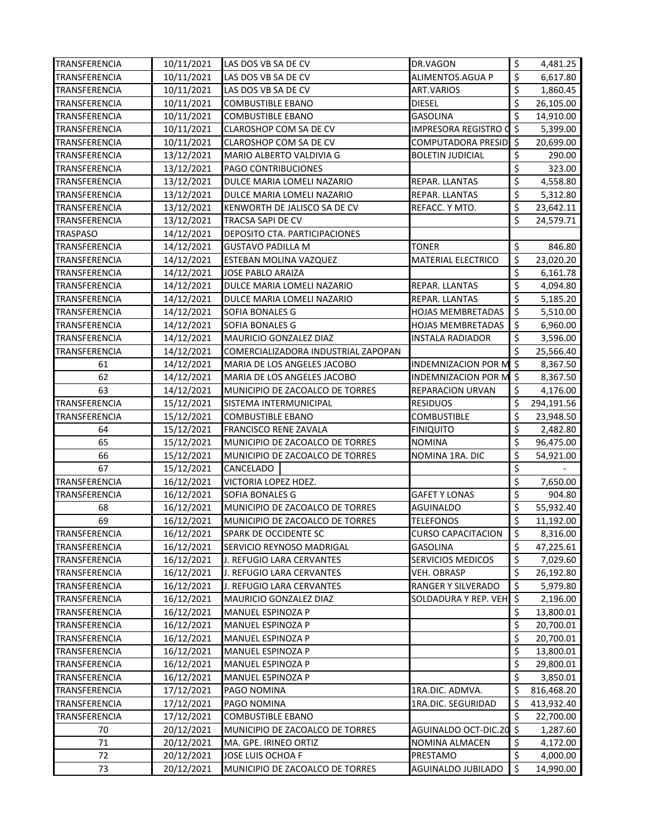| TRANSFERENCIA        | 10/11/2021 | LAS DOS VB SA DE CV                 | DR.VAGON                    | \$                  | 4,481.25   |
|----------------------|------------|-------------------------------------|-----------------------------|---------------------|------------|
| TRANSFERENCIA        | 10/11/2021 | LAS DOS VB SA DE CV                 | ALIMENTOS.AGUA P            | \$                  | 6,617.80   |
| TRANSFERENCIA        | 10/11/2021 | LAS DOS VB SA DE CV                 | <b>ART.VARIOS</b>           | \$                  | 1,860.45   |
| TRANSFERENCIA        | 10/11/2021 | <b>COMBUSTIBLE EBANO</b>            | <b>DIESEL</b>               | \$                  | 26,105.00  |
| TRANSFERENCIA        | 10/11/2021 | <b>COMBUSTIBLE EBANO</b>            | <b>GASOLINA</b>             | \$                  | 14,910.00  |
| TRANSFERENCIA        | 10/11/2021 | <b>CLAROSHOP COM SA DE CV</b>       | <b>IMPRESORA REGISTRO O</b> | \$                  | 5,399.00   |
| TRANSFERENCIA        | 10/11/2021 | CLAROSHOP COM SA DE CV              | COMPUTADORA PRESID          | ۱S.                 | 20,699.00  |
| TRANSFERENCIA        | 13/12/2021 | MARIO ALBERTO VALDIVIA G            | <b>BOLETIN JUDICIAL</b>     | \$                  | 290.00     |
| TRANSFERENCIA        | 13/12/2021 | PAGO CONTRIBUCIONES                 |                             | \$                  | 323.00     |
| TRANSFERENCIA        | 13/12/2021 | DULCE MARIA LOMELI NAZARIO          | REPAR. LLANTAS              | \$                  | 4,558.80   |
| TRANSFERENCIA        | 13/12/2021 | DULCE MARIA LOMELI NAZARIO          | REPAR. LLANTAS              | \$                  | 5,312.80   |
| <b>TRANSFERENCIA</b> | 13/12/2021 | KENWORTH DE JALISCO SA DE CV        | REFACC. Y MTO.              | \$                  | 23,642.11  |
| TRANSFERENCIA        | 13/12/2021 | TRACSA SAPI DE CV                   |                             | \$                  | 24,579.71  |
| <b>TRASPASO</b>      | 14/12/2021 | DEPOSITO CTA. PARTICIPACIONES       |                             |                     |            |
| TRANSFERENCIA        | 14/12/2021 | <b>GUSTAVO PADILLA M</b>            | TONER                       | \$                  | 846.80     |
| TRANSFERENCIA        | 14/12/2021 | <b>ESTEBAN MOLINA VAZQUEZ</b>       | MATERIAL ELECTRICO          | \$                  | 23,020.20  |
| TRANSFERENCIA        | 14/12/2021 | JOSE PABLO ARAIZA                   |                             | \$                  | 6,161.78   |
| TRANSFERENCIA        | 14/12/2021 | DULCE MARIA LOMELI NAZARIO          | REPAR. LLANTAS              | \$                  | 4,094.80   |
| TRANSFERENCIA        | 14/12/2021 | DULCE MARIA LOMELI NAZARIO          | REPAR. LLANTAS              | \$                  | 5,185.20   |
| TRANSFERENCIA        | 14/12/2021 | SOFIA BONALES G                     | <b>HOJAS MEMBRETADAS</b>    | \$                  | 5,510.00   |
| TRANSFERENCIA        | 14/12/2021 | <b>SOFIA BONALES G</b>              | <b>HOJAS MEMBRETADAS</b>    | \$                  | 6,960.00   |
| TRANSFERENCIA        | 14/12/2021 | MAURICIO GONZALEZ DIAZ              | INSTALA RADIADOR            | \$                  | 3,596.00   |
| <b>TRANSFERENCIA</b> | 14/12/2021 | COMERCIALIZADORA INDUSTRIAL ZAPOPAN |                             | \$                  | 25,566.40  |
| 61                   | 14/12/2021 | MARIA DE LOS ANGELES JACOBO         | <b>INDEMNIZACION POR M</b>  | $\zeta$             | 8,367.50   |
| 62                   | 14/12/2021 | MARIA DE LOS ANGELES JACOBO         | <b>INDEMNIZACION POR M</b>  | \$                  | 8,367.50   |
| 63                   | 14/12/2021 | MUNICIPIO DE ZACOALCO DE TORRES     | REPARACION URVAN            | \$                  | 4,176.00   |
| TRANSFERENCIA        | 15/12/2021 | SISTEMA INTERMUNICIPAL              | <b>RESIDUOS</b>             | \$                  | 294,191.56 |
| TRANSFERENCIA        | 15/12/2021 | <b>COMBUSTIBLE EBANO</b>            | COMBUSTIBLE                 | \$                  | 23,948.50  |
| 64                   | 15/12/2021 | <b>FRANCISCO RENE ZAVALA</b>        | <b>FINIQUITO</b>            | \$                  | 2,482.80   |
| 65                   | 15/12/2021 | MUNICIPIO DE ZACOALCO DE TORRES     | NOMINA                      | \$                  | 96,475.00  |
| 66                   | 15/12/2021 | MUNICIPIO DE ZACOALCO DE TORRES     | NOMINA 1RA. DIC             | \$                  | 54,921.00  |
| 67                   | 15/12/2021 | CANCELADO                           |                             | \$                  |            |
| TRANSFERENCIA        | 16/12/2021 | VICTORIA LOPEZ HDEZ.                |                             | \$                  | 7,650.00   |
| TRANSFERENCIA        | 16/12/2021 | SOFIA BONALES G                     | <b>GAFET Y LONAS</b>        | \$                  | 904.80     |
| 68                   | 16/12/2021 | MUNICIPIO DE ZACOALCO DE TORRES     | AGUINALDO                   | \$                  | 55,932.40  |
| 69                   | 16/12/2021 | MUNICIPIO DE ZACOALCO DE TORRES     | TELEFONOS                   | \$                  | 11,192.00  |
| TRANSFERENCIA        | 16/12/2021 | <b>SPARK DE OCCIDENTE SC</b>        | <b>CURSO CAPACITACION</b>   | İ\$                 | 8,316.00   |
| TRANSFERENCIA        | 16/12/2021 | SERVICIO REYNOSO MADRIGAL           | <b>GASOLINA</b>             | \$                  | 47,225.61  |
| TRANSFERENCIA        | 16/12/2021 | J. REFUGIO LARA CERVANTES           | SERVICIOS MEDICOS           | \$                  | 7,029.60   |
| TRANSFERENCIA        | 16/12/2021 | J. REFUGIO LARA CERVANTES           | VEH. OBRASP                 | \$                  | 26,192.80  |
| TRANSFERENCIA        | 16/12/2021 | J. REFUGIO LARA CERVANTES           | RANGER Y SILVERADO          | \$                  | 5,979.80   |
| TRANSFERENCIA        | 16/12/2021 | MAURICIO GONZALEZ DIAZ              | SOLDADURA Y REP. VEH        | $\ddot{\mathsf{S}}$ | 2,196.00   |
| TRANSFERENCIA        | 16/12/2021 | MANUEL ESPINOZA P                   |                             | \$                  | 13,800.01  |
| TRANSFERENCIA        | 16/12/2021 | MANUEL ESPINOZA P                   |                             | \$                  | 20,700.01  |
| TRANSFERENCIA        | 16/12/2021 | MANUEL ESPINOZA P                   |                             | \$                  | 20,700.01  |
| TRANSFERENCIA        | 16/12/2021 | MANUEL ESPINOZA P                   |                             | \$                  | 13,800.01  |
| TRANSFERENCIA        | 16/12/2021 | MANUEL ESPINOZA P                   |                             | \$                  | 29,800.01  |
| TRANSFERENCIA        | 16/12/2021 | MANUEL ESPINOZA P                   |                             | \$                  | 3,850.01   |
| TRANSFERENCIA        | 17/12/2021 | PAGO NOMINA                         | 1RA.DIC. ADMVA.             | \$                  | 816,468.20 |
| TRANSFERENCIA        | 17/12/2021 | PAGO NOMINA                         | 1RA.DIC. SEGURIDAD          | \$                  | 413,932.40 |
| TRANSFERENCIA        |            |                                     |                             | \$                  |            |
|                      | 17/12/2021 | <b>COMBUSTIBLE EBANO</b>            |                             |                     | 22,700.00  |
| 70                   | 20/12/2021 | MUNICIPIO DE ZACOALCO DE TORRES     | AGUINALDO OCT-DIC.20        | \$                  | 1,287.60   |
| 71                   | 20/12/2021 | MA. GPE. IRINEO ORTIZ               | NOMINA ALMACEN              | \$                  | 4,172.00   |
| 72                   | 20/12/2021 | JOSE LUIS OCHOA F                   | PRESTAMO                    | \$                  | 4,000.00   |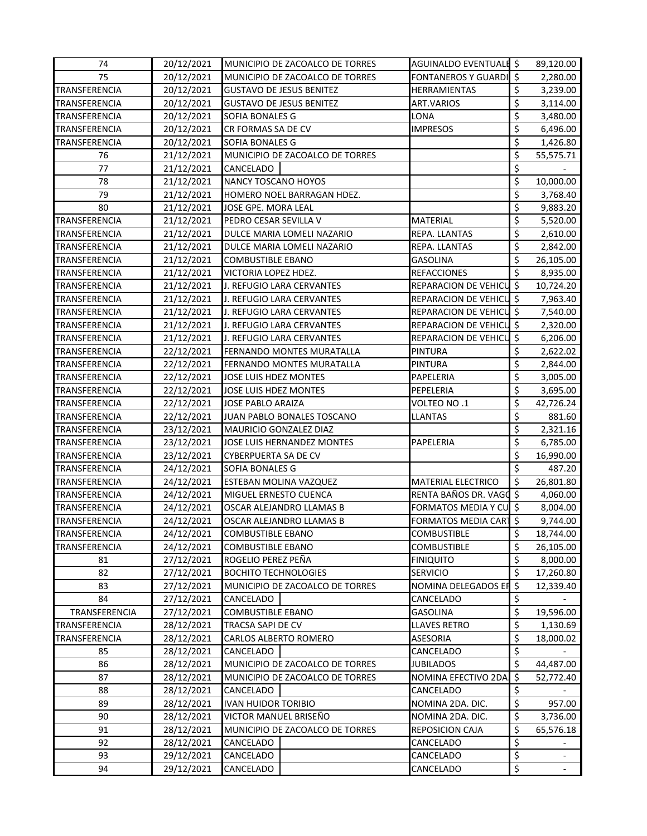| 74                   | 20/12/2021               | MUNICIPIO DE ZACOALCO DE TORRES                                    | AGUINALDO EVENTUALE \$        |                                | 89,120.00                |
|----------------------|--------------------------|--------------------------------------------------------------------|-------------------------------|--------------------------------|--------------------------|
| 75                   | 20/12/2021               | MUNICIPIO DE ZACOALCO DE TORRES<br><b>FONTANEROS Y GUARDI</b>      |                               | \$                             | 2,280.00                 |
| TRANSFERENCIA        | 20/12/2021               | <b>GUSTAVO DE JESUS BENITEZ</b>                                    | <b>HERRAMIENTAS</b>           | \$                             | 3,239.00                 |
| TRANSFERENCIA        | 20/12/2021               | <b>GUSTAVO DE JESUS BENITEZ</b><br>ART.VARIOS                      |                               | \$                             | 3,114.00                 |
| TRANSFERENCIA        | 20/12/2021               | SOFIA BONALES G<br>LONA                                            |                               | \$                             | 3,480.00                 |
| <b>TRANSFERENCIA</b> | 20/12/2021               | CR FORMAS SA DE CV                                                 | <b>IMPRESOS</b>               | \$                             | 6,496.00                 |
| TRANSFERENCIA        | 20/12/2021               | SOFIA BONALES G                                                    |                               | \$                             | 1,426.80                 |
| 76                   | 21/12/2021               | MUNICIPIO DE ZACOALCO DE TORRES                                    |                               | \$                             | 55,575.71                |
| 77                   | 21/12/2021               | CANCELADO                                                          |                               | \$                             |                          |
| 78                   | 21/12/2021               | NANCY TOSCANO HOYOS                                                |                               | \$                             | 10,000.00                |
| 79                   | 21/12/2021               | HOMERO NOEL BARRAGAN HDEZ.                                         |                               | \$                             | 3,768.40                 |
| 80                   | 21/12/2021               | JOSE GPE. MORA LEAL                                                |                               | \$                             | 9,883.20                 |
| TRANSFERENCIA        | 21/12/2021               | PEDRO CESAR SEVILLA V                                              | <b>MATERIAL</b>               | \$                             | 5,520.00                 |
| TRANSFERENCIA        | 21/12/2021               | DULCE MARIA LOMELI NAZARIO                                         | REPA. LLANTAS                 | \$                             | 2,610.00                 |
| TRANSFERENCIA        | 21/12/2021               | DULCE MARIA LOMELI NAZARIO                                         | REPA. LLANTAS                 | \$                             | 2,842.00                 |
| TRANSFERENCIA        | 21/12/2021               | COMBUSTIBLE EBANO                                                  | <b>GASOLINA</b>               | \$                             | 26,105.00                |
| TRANSFERENCIA        | 21/12/2021               | VICTORIA LOPEZ HDEZ.                                               | <b>REFACCIONES</b>            | \$                             | 8,935.00                 |
| TRANSFERENCIA        | 21/12/2021               | J. REFUGIO LARA CERVANTES                                          | REPARACION DE VEHICU          | $\zeta$                        | 10,724.20                |
| TRANSFERENCIA        | 21/12/2021               | J. REFUGIO LARA CERVANTES                                          | REPARACION DE VEHICU          | $\zeta$                        | 7,963.40                 |
| TRANSFERENCIA        | 21/12/2021               | J. REFUGIO LARA CERVANTES                                          | REPARACION DE VEHICU          | $\zeta$                        | 7,540.00                 |
| TRANSFERENCIA        | 21/12/2021               | J. REFUGIO LARA CERVANTES                                          | REPARACION DE VEHICU          | $\zeta$                        | 2,320.00                 |
| TRANSFERENCIA        | 21/12/2021               | J. REFUGIO LARA CERVANTES                                          | REPARACION DE VEHICU          | $\zeta$                        | 6,206.00                 |
| TRANSFERENCIA        | 22/12/2021               | FERNANDO MONTES MURATALLA                                          | <b>PINTURA</b>                | \$                             | 2,622.02                 |
| TRANSFERENCIA        | 22/12/2021               | FERNANDO MONTES MURATALLA                                          | <b>PINTURA</b>                | \$                             | 2,844.00                 |
| TRANSFERENCIA        | 22/12/2021               | JOSE LUIS HDEZ MONTES                                              | PAPELERIA                     | \$                             | 3,005.00                 |
| TRANSFERENCIA        | 22/12/2021               | JOSE LUIS HDEZ MONTES                                              | PEPELERIA                     | \$                             | 3,695.00                 |
| TRANSFERENCIA        | 22/12/2021               | JOSE PABLO ARAIZA                                                  | VOLTEO NO.1                   | \$                             | 42,726.24                |
| TRANSFERENCIA        | 22/12/2021               | JUAN PABLO BONALES TOSCANO                                         | LLANTAS                       | \$                             | 881.60                   |
| TRANSFERENCIA        | 23/12/2021               | MAURICIO GONZALEZ DIAZ                                             |                               | \$                             | 2,321.16                 |
| TRANSFERENCIA        | 23/12/2021               | JOSE LUIS HERNANDEZ MONTES                                         | PAPELERIA                     | \$                             | 6,785.00                 |
| TRANSFERENCIA        | 23/12/2021               | CYBERPUERTA SA DE CV                                               |                               | \$                             | 16,990.00                |
| TRANSFERENCIA        | 24/12/2021               | SOFIA BONALES G                                                    |                               | $\overline{\mathbf{S}}$        | 487.20                   |
| TRANSFERENCIA        | 24/12/2021               | ESTEBAN MOLINA VAZQUEZ                                             | <b>MATERIAL ELECTRICO</b>     | \$                             | 26,801.80                |
| TRANSFERENCIA        | 24/12/2021               | MIGUEL ERNESTO CUENCA                                              | RENTA BAÑOS DR. VAGO \$       |                                | 4,060.00                 |
| TRANSFERENCIA        | 24/12/2021               | OSCAR ALEJANDRO LLAMAS B                                           | FORMATOS MEDIA Y CU \$        |                                | 8,004.00                 |
| TRANSFERENCIA        | 24/12/2021               | OSCAR ALEJANDRO LLAMAS B                                           | <b>FORMATOS MEDIA CART</b>    | $\zeta$                        | 9,744.00                 |
| TRANSFERENCIA        | 24/12/2021               | <b>COMBUSTIBLE EBANO</b>                                           | COMBUSTIBLE                   | Ş                              | 18,744.00                |
| TRANSFERENCIA        | 24/12/2021               | <b>COMBUSTIBLE EBANO</b>                                           | <b>COMBUSTIBLE</b>            | \$                             | 26,105.00                |
| 81                   | 27/12/2021               | ROGELIO PEREZ PEÑA                                                 | <b>FINIQUITO</b>              | \$                             | 8,000.00                 |
| 82                   | 27/12/2021               | <b>BOCHITO TECHNOLOGIES</b>                                        | <b>SERVICIO</b>               | \$                             | 17,260.80                |
| 83                   | 27/12/2021               | MUNICIPIO DE ZACOALCO DE TORRES                                    | NOMINA DELEGADOS EF \$        |                                | 12,339.40                |
| 84                   | 27/12/2021               | CANCELADO                                                          | CANCELADO                     | \$                             |                          |
| TRANSFERENCIA        | 27/12/2021               | COMBUSTIBLE EBANO                                                  | <b>GASOLINA</b>               | \$                             | 19,596.00                |
| TRANSFERENCIA        | 28/12/2021               | TRACSA SAPI DE CV                                                  | LLAVES RETRO                  | \$                             | 1,130.69                 |
| TRANSFERENCIA        | 28/12/2021               | CARLOS ALBERTO ROMERO                                              | ASESORIA                      | \$                             |                          |
| 85                   | 28/12/2021               | CANCELADO                                                          | CANCELADO                     | \$                             | 18,000.02                |
|                      |                          |                                                                    | <b>JUBILADOS</b>              | \$                             |                          |
| 86<br>87             | 28/12/2021<br>28/12/2021 | MUNICIPIO DE ZACOALCO DE TORRES<br>MUNICIPIO DE ZACOALCO DE TORRES | NOMINA EFECTIVO 2DA.          | $\zeta$                        | 44,487.00                |
| 88                   |                          |                                                                    |                               | \$                             | 52,772.40                |
|                      | 28/12/2021               | CANCELADO                                                          | CANCELADO<br>NOMINA 2DA. DIC. | \$                             |                          |
| 89                   | 28/12/2021               | <b>IVAN HUIDOR TORIBIO</b>                                         |                               | \$                             | 957.00                   |
| 90                   | 28/12/2021               | VICTOR MANUEL BRISEÑO                                              | NOMINA 2DA. DIC.              |                                | 3,736.00                 |
| 91                   | 28/12/2021               | MUNICIPIO DE ZACOALCO DE TORRES                                    | <b>REPOSICION CAJA</b>        | \$                             | 65,576.18                |
| 92                   | 28/12/2021               | CANCELADO                                                          | CANCELADO                     | \$<br>$\overline{\mathcal{S}}$ |                          |
| 93                   | 29/12/2021               | CANCELADO                                                          | CANCELADO                     |                                | $\overline{\phantom{a}}$ |
| 94                   | 29/12/2021               | CANCELADO                                                          | CANCELADO                     | \$                             |                          |